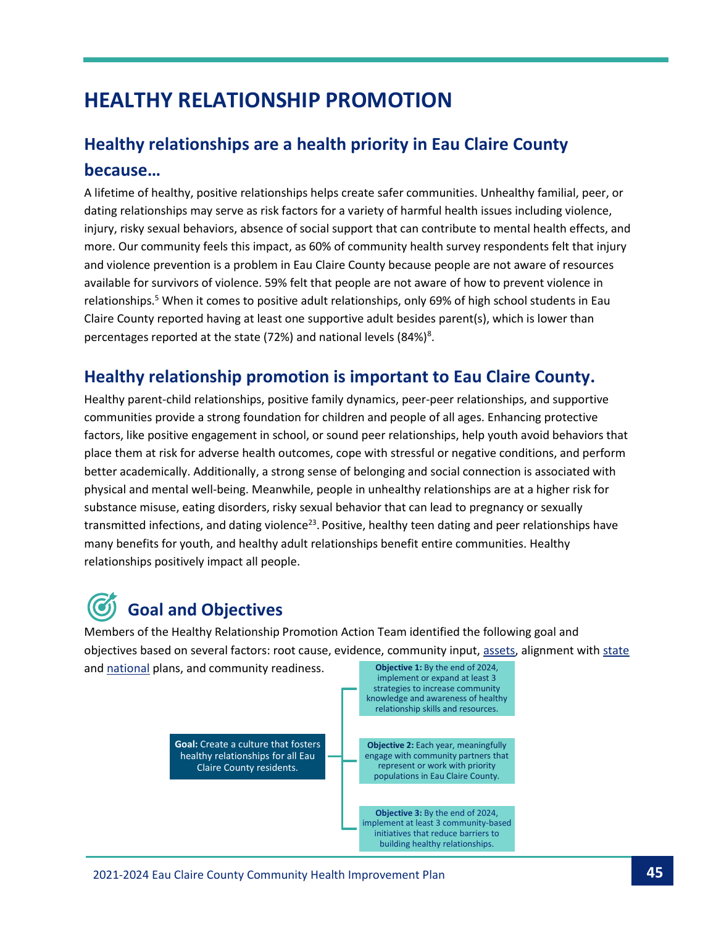## **HEALTHY RELATIONSHIP PROMOTION**

### **Healthy relationships are a health priority in Eau Claire County because…**

A lifetime of healthy, positive relationships helps create safer communities. Unhealthy familial, peer, or dating relationships may serve as risk factors for a variety of harmful health issues including violence, injury, risky sexual behaviors, absence of social support that can contribute to mental health effects, and more. Our community feels this impact, as 60% of community health survey respondents felt that injury and violence prevention is a problem in Eau Claire County because people are not aware of resources available for survivors of violence. 59% felt that people are not aware of how to prevent violence in relationships.<sup>5</sup> When it comes to positive adult relationships, only 69% of high school students in Eau Claire County reported having at least one supportive adult besides parent(s), which is lower than percentages reported at the state (72%) and national levels (84%)<sup>8</sup>.

#### **Healthy relationship promotion is important to Eau Claire County.**

Healthy parent-child relationships, positive family dynamics, peer-peer relationships, and supportive communities provide a strong foundation for children and people of all ages. Enhancing protective factors, like positive engagement in school, or sound peer relationships, help youth avoid behaviors that place them at risk for adverse health outcomes, cope with stressful or negative conditions, and perform better academically. Additionally, a strong sense of belonging and social connection is associated with physical and mental well-being. Meanwhile, people in unhealthy relationships are at a higher risk for substance misuse, eating disorders, risky sexual behavior that can lead to pregnancy or sexually transmitted infections, and dating violence<sup>23</sup>. Positive, healthy teen dating and peer relationships have many benefits for youth, and healthy adult relationships benefit entire communities. Healthy relationships positively impact all people.

# **Goal and Objectives**

Members of the Healthy Relationship Promotion Action Team identified the following goal and objectives based on several factors: root cause, evidence, community input, [assets,](https://echealthycommunities.org/wp-content/uploads/2019/09/Toolkit-Final.pdf?pdf=Relationship-Toolkit) alignment wit[h state](https://www.dhs.wisconsin.gov/hw2020/index.htm) and [national](https://health.gov/healthypeople) plans, and community readiness. **Objective 1:** By the end of 2024,

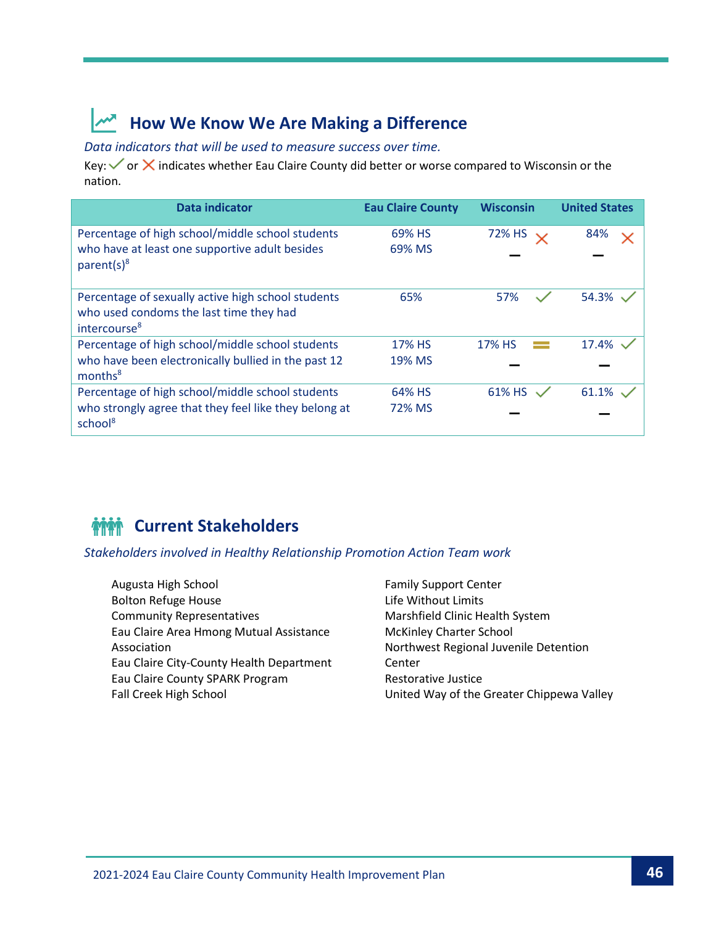### **How We Know We Are Making a Difference**

*Data indicators that will be used to measure success over time.*

Key:  $\checkmark$  or  $\checkmark$  indicates whether Eau Claire County did better or worse compared to Wisconsin or the nation.

| <b>Data indicator</b>                                                                                                     | <b>Eau Claire County</b> | <b>Wisconsin</b> | <b>United States</b> |
|---------------------------------------------------------------------------------------------------------------------------|--------------------------|------------------|----------------------|
| Percentage of high school/middle school students<br>who have at least one supportive adult besides<br>parent(s) $8$       | 69% HS<br>69% MS         | 72% HS           | 84%                  |
| Percentage of sexually active high school students<br>who used condoms the last time they had<br>intercourse <sup>8</sup> | 65%                      | 57%              | 54.3%                |
| Percentage of high school/middle school students                                                                          | 17% HS                   | 17% HS           | 17.4%                |
| who have been electronically bullied in the past 12<br>months <sup>8</sup>                                                | 19% MS                   |                  |                      |
| Percentage of high school/middle school students                                                                          | 64% HS                   | 61% HS           | 61.1%                |
| who strongly agree that they feel like they belong at<br>school <sup>8</sup>                                              | 72% MS                   |                  |                      |

### *MMM* Current Stakeholders

*Stakeholders involved in Healthy Relationship Promotion Action Team work*

- Augusta High School Bolton Refuge House Community Representatives Eau Claire Area Hmong Mutual Assistance Association Eau Claire City-County Health Department Eau Claire County SPARK Program Fall Creek High School
- Family Support Center Life Without Limits Marshfield Clinic Health System McKinley Charter School Northwest Regional Juvenile Detention Center Restorative Justice United Way of the Greater Chippewa Valley